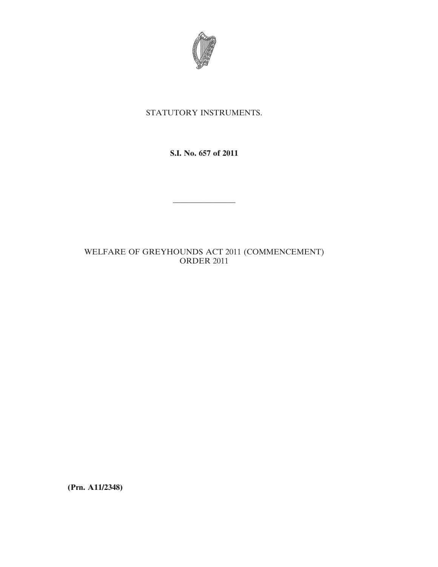

## STATUTORY INSTRUMENTS.

**S.I. No. 657 of 2011**

————————

## WELFARE OF GREYHOUNDS ACT 2011 (COMMENCEMENT) ORDER 2011

**(Prn. A11/2348)**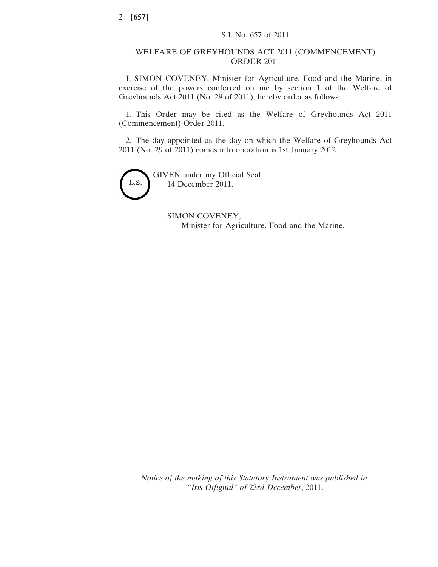## WELFARE OF GREYHOUNDS ACT 2011 (COMMENCEMENT) ORDER 2011

I, SIMON COVENEY, Minister for Agriculture, Food and the Marine, in exercise of the powers conferred on me by section 1 of the Welfare of Greyhounds Act 2011 (No. 29 of 2011), hereby order as follows:

1. This Order may be cited as the Welfare of Greyhounds Act 2011 (Commencement) Order 2011.

2. The day appointed as the day on which the Welfare of Greyhounds Act 2011 (No. 29 of 2011) comes into operation is 1st January 2012.



GIVEN under my Official Seal, 14 December 2011.

> SIMON COVENEY, Minister for Agriculture, Food and the Marine.

*Notice of the making of this Statutory Instrument was published in "Iris Oifigiúil" of* 23*rd December*, 2011.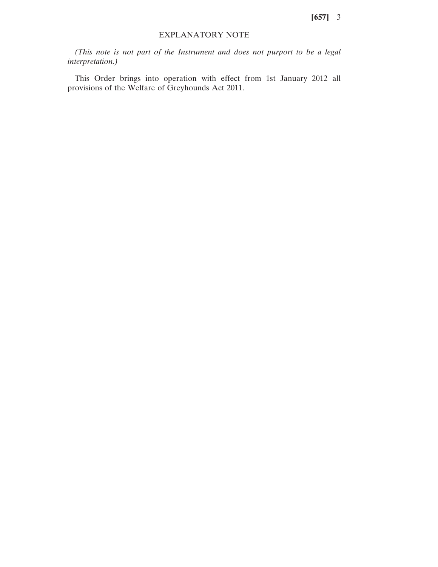**[657]** 3

## EXPLANATORY NOTE

*(This note is not part of the Instrument and does not purport to be a legal interpretation.)*

This Order brings into operation with effect from 1st January 2012 all provisions of the Welfare of Greyhounds Act 2011.